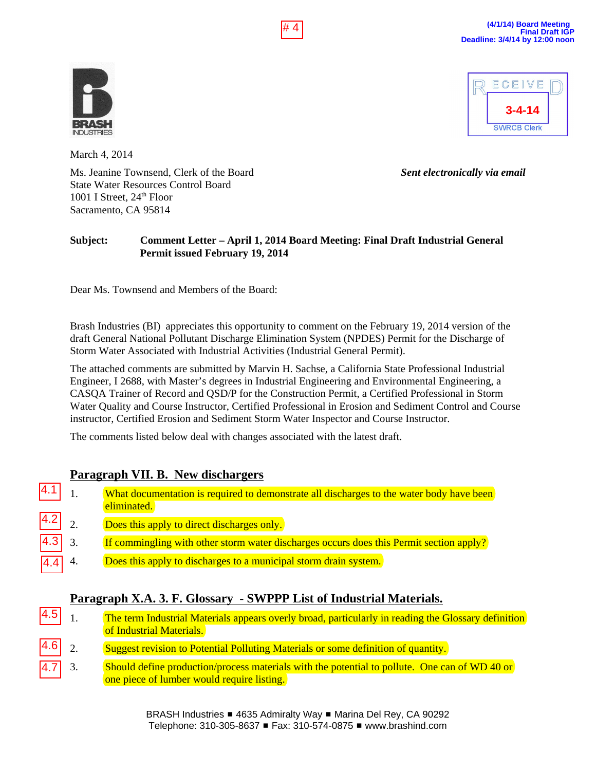

ECEIVE **3-4-14 SWRCB Clerk** 

March 4, 2014

Ms. Jeanine Townsend, Clerk of the Board *Sent electronically via email* State Water Resources Control Board 1001 I Street,  $24<sup>th</sup>$  Floor Sacramento, CA 95814

### **Subject: Comment Letter – April 1, 2014 Board Meeting: Final Draft Industrial General Permit issued February 19, 2014**

Dear Ms. Townsend and Members of the Board:

Brash Industries (BI) appreciates this opportunity to comment on the February 19, 2014 version of the draft General National Pollutant Discharge Elimination System (NPDES) Permit for the Discharge of Storm Water Associated with Industrial Activities (Industrial General Permit).

The attached comments are submitted by Marvin H. Sachse, a California State Professional Industrial Engineer, I 2688, with Master's degrees in Industrial Engineering and Environmental Engineering, a CASQA Trainer of Record and QSD/P for the Construction Permit, a Certified Professional in Storm Water Quality and Course Instructor, Certified Professional in Erosion and Sediment Control and Course instructor, Certified Erosion and Sediment Storm Water Inspector and Course Instructor. **EXAMPLE TRANSFERS**<br>
March 4, 2014<br>
Ms. Leanine Townsend, Clerk of the Board<br>
State Water Resources Control Board<br>
State Water Resources Control Board<br>
1001 I Street, 24<sup>th</sup> Floor<br>
Sacramento, CA 95814<br> **Subject:** Comment

The comments listed below deal with changes associated with the latest draft.

## **Paragraph VII. B. New dischargers**

- 1. What documentation is required to demonstrate all discharges to the water body have been eliminated.
- 2. Does this apply to direct discharges only. 4.2
- 3. If commingling with other storm water discharges occurs does this Permit section apply? 4.3
- 4. Does this apply to discharges to a municipal storm drain system. 4.4

## **Paragraph X.A. 3. F. Glossary - SWPPP List of Industrial Materials.**

- 1. The term Industrial Materials appears overly broad, particularly in reading the Glossary definition of Industrial Materials. 4.5
- 2. Suggest revision to Potential Polluting Materials or some definition of quantity. 4.6
- 3. Should define production/process materials with the potential to pollute. One can of WD 40 or one piece of lumber would require listing. 4.7

BRASH Industries ■ 4635 Admiralty Way ■ Marina Del Rey, CA 90292 Telephone: 310-305-8637 # Fax: 310-574-0875 # www.brashind.com